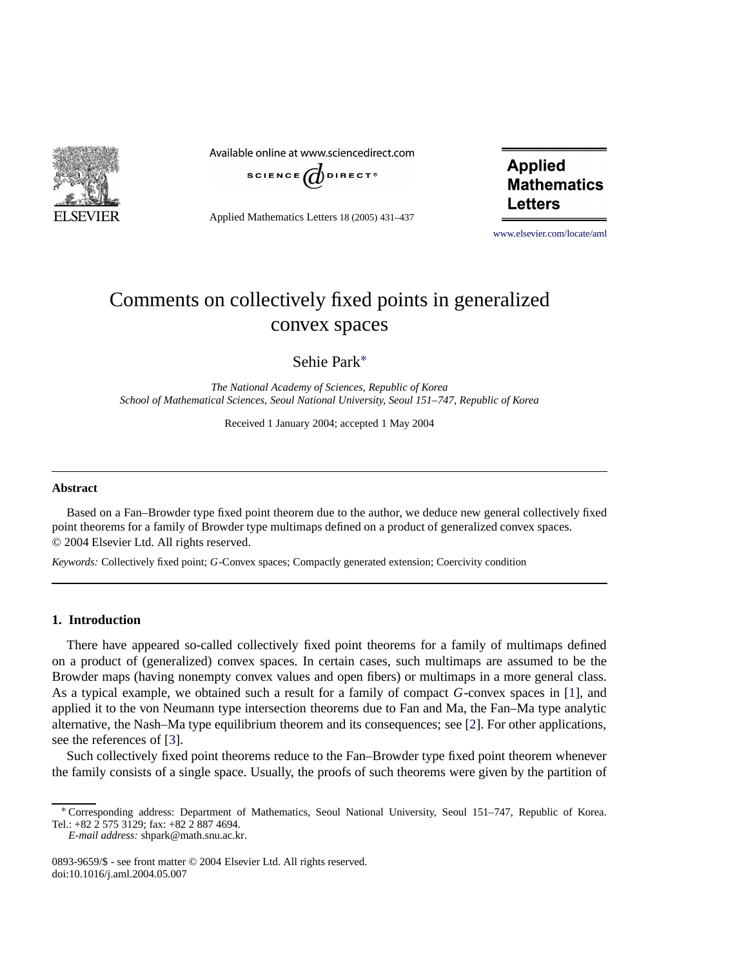

Available online at www.sciencedirect.com



Applied Mathematics Letters 18 (2005) 431–437

**Applied Mathematics Letters** 

[www.elsevier.com/locate/aml](http://www.elsevier.com/locate/aml)

# Comments on collectively fixed points in generalized convex spaces

Sehie Park[∗](#page-0-0)

*The National Academy of Sciences, Republic of Korea School of Mathematical Sciences, Seoul National University, Seoul 151–747, Republic of Korea*

Received 1 January 2004; accepted 1 May 2004

#### **Abstract**

Based on a Fan–Browder type fixed point theorem due to the author, we deduce new general collectively fixed point theorems for a family of Browder type multimaps defined on a product of generalized convex spaces. © 2004 Elsevier Ltd. All rights reserved.

*Keywords:* Collectively fixed point; *G*-Convex spaces; Compactly generated extension; Coercivity condition

## **1. Introduction**

There have appeared so-called collectively fixed point theorems for a family of multimaps defined on a product of (generalized) convex spaces. In certain cases, such multimaps are assumed to be the Browder maps (having nonempty convex values and open fibers) or multimaps in a more general class. As a typical example, we obtained such a result for a family of compact *G*-convex spaces in [\[1\]](#page-6-0), and applied it to the von Neumann type intersection theorems due to Fan and Ma, the Fan–Ma type analytic alternative, the Nash–Ma type equilibrium theorem and its consequences; see [\[2\]](#page-6-1). For other applications, see the references of [\[3\]](#page-6-2).

Such collectively fixed point theorems reduce to the Fan–Browder type fixed point theorem whenever the family consists of a single space. Usually, the proofs of such theorems were given by the partition of

<span id="page-0-0"></span><sup>∗</sup> Corresponding address: Department of Mathematics, Seoul National University, Seoul 151–747, Republic of Korea. Tel.: +82 2 575 3129; fax: +82 2 887 4694.

*E-mail address:* shpark@math.snu.ac.kr.

<sup>0893-9659/\$ -</sup> see front matter © 2004 Elsevier Ltd. All rights reserved. doi:10.1016/j.aml.2004.05.007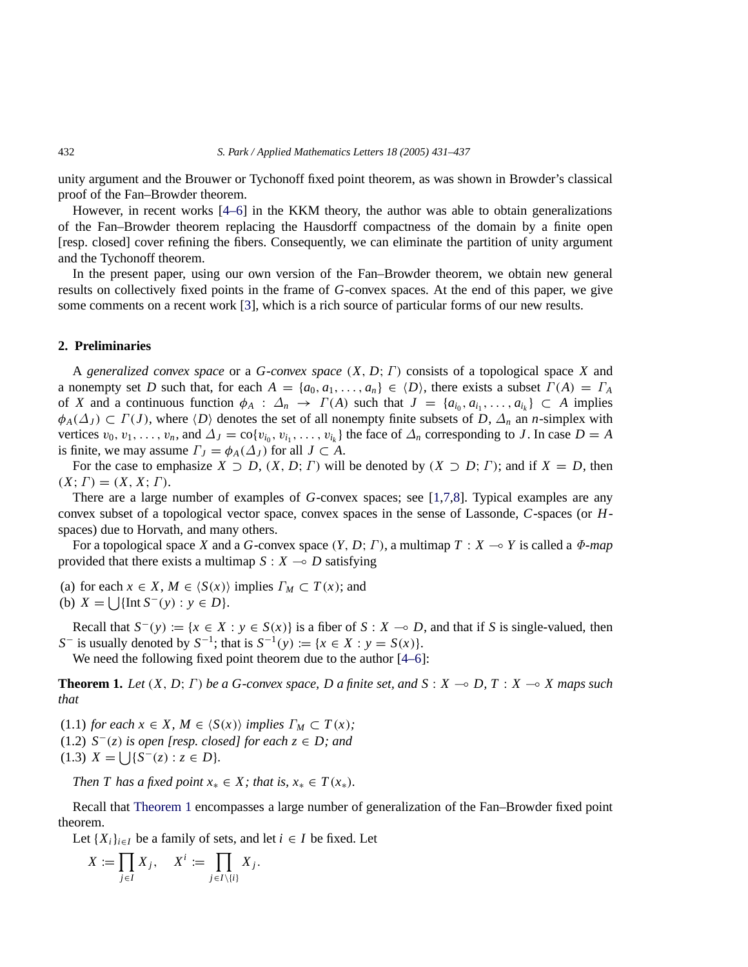unity argument and the Brouwer or Tychonoff fixed point theorem, as was shown in Browder's classical proof of the Fan–Browder theorem.

However, in recent works [\[4–6\]](#page-6-3) in the KKM theory, the author was able to obtain generalizations of the Fan–Browder theorem replacing the Hausdorff compactness of the domain by a finite open [resp. closed] cover refining the fibers. Consequently, we can eliminate the partition of unity argument and the Tychonoff theorem.

In the present paper, using our own version of the Fan–Browder theorem, we obtain new general results on collectively fixed points in the frame of *G*-convex spaces. At the end of this paper, we give some comments on a recent work [\[3\]](#page-6-2), which is a rich source of particular forms of our new results.

## **2. Preliminaries**

A *generalized convex space* or a *G*-*convex space* (*X*, *D*; Γ) consists of a topological space *X* and a nonempty set *D* such that, for each  $A = \{a_0, a_1, \ldots, a_n\} \in \langle D \rangle$ , there exists a subset  $\Gamma(A) = \Gamma_A$ of *X* and a continuous function  $\phi_A : \Delta_n \to \Gamma(A)$  such that  $J = \{a_{i_0}, a_{i_1}, \ldots, a_{i_k}\} \subset A$  implies  $\phi_A(\Delta_J) \subset \Gamma(J)$ , where  $\langle D \rangle$  denotes the set of all nonempty finite subsets of *D*,  $\Delta_n$  an *n*-simplex with vertices  $v_0, v_1, \ldots, v_n$ , and  $\Delta_J = \text{co}\{v_{i_0}, v_{i_1}, \ldots, v_{i_k}\}$  the face of  $\Delta_n$  corresponding to *J*. In case  $D = A$ is finite, we may assume  $\Gamma_J = \phi_A(\Delta_J)$  for all  $J \subset A$ .

For the case to emphasize  $X \supset D$ ,  $(X, D; T)$  will be denoted by  $(X \supset D; T)$ ; and if  $X = D$ , then  $(X; \Gamma) = (X, X; \Gamma).$ 

There are a large number of examples of *G*-convex spaces; see [\[1](#page-6-0)[,7,](#page-6-4)[8\]](#page-6-5). Typical examples are any convex subset of a topological vector space, convex spaces in the sense of Lassonde, *C*-spaces (or *H*spaces) due to Horvath, and many others.

For a topological space *X* and a *G*-convex space  $(Y, D; \Gamma)$ , a multimap  $T : X \rightarrow Y$  is called a  $\Phi$ -map provided that there exists a multimap  $S: X \rightarrow D$  satisfying

- (a) for each  $x \in X$ ,  $M \in \langle S(x) \rangle$  implies  $\Gamma_M \subset T(x)$ ; and
- (b)  $X = \left[ \int \left[ \ln S^{-}(y) : y \in D \right] \right]$ .

Recall that  $S^{-}(y) := \{x \in X : y \in S(x)\}$  is a fiber of  $S : X \to D$ , and that if *S* is single-valued, then *S*<sup>−</sup> is usually denoted by *S*<sup>−1</sup>; that is *S*<sup>−1</sup>(*y*) := {*x* ∈ *X* : *y* = *S*(*x*)}.

We need the following fixed point theorem due to the author [\[4–6\]](#page-6-3):

<span id="page-1-0"></span>**Theorem 1.** Let  $(X, D; \Gamma)$  be a G-convex space, D a finite set, and  $S: X \to D, T: X \to X$  maps such *that*

(1.1) *for each*  $x \in X$ *,*  $M \in \langle S(x) \rangle$  *implies*  $\Gamma_M \subset T(x)$ *;* (1.2)  $S^-(z)$  *is open [resp. closed] for each*  $z \in D$ *; and* (1.3)  $X = \iint_S S^{-}(z) : z \in D$ .

*Then T has a fixed point*  $x_* \in X$ *; that is,*  $x_* \in T(x_*)$ *.* 

Recall that [Theorem 1](#page-1-0) encompasses a large number of generalization of the Fan–Browder fixed point theorem.

Let  $\{X_i\}_{i \in I}$  be a family of sets, and let  $i \in I$  be fixed. Let

$$
X := \prod_{j \in I} X_j, \quad X^i := \prod_{j \in I \setminus \{i\}} X_j.
$$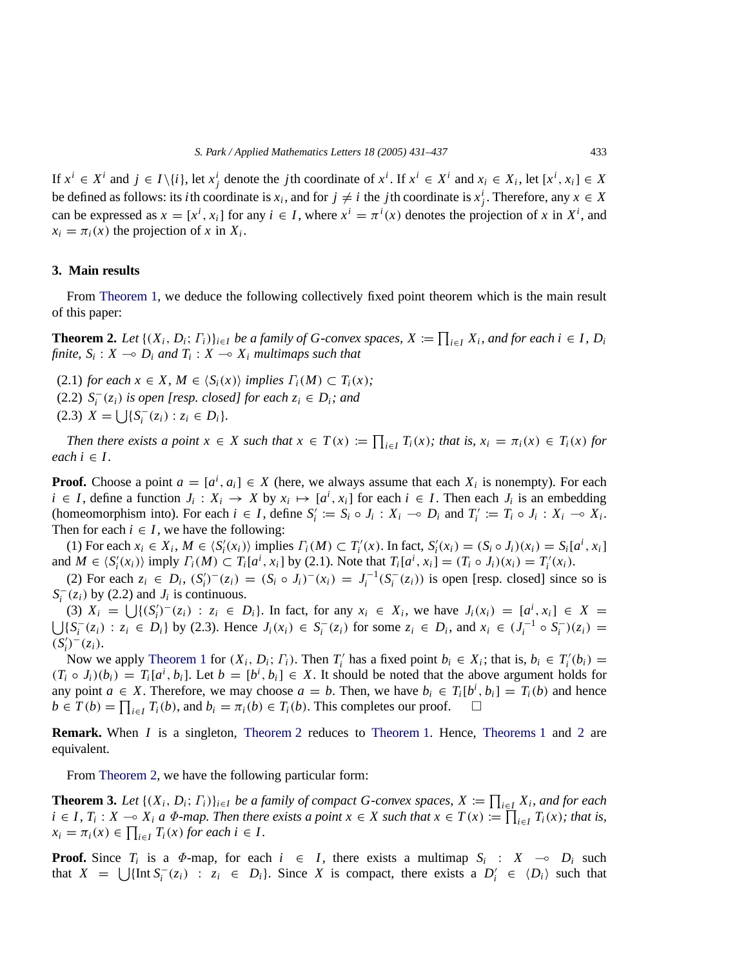If  $x^i \in X^i$  and  $j \in I \setminus \{i\}$ , let  $x_j^i$  denote the *j*th coordinate of  $x^i$ . If  $x^i \in X^i$  and  $x_i \in X_i$ , let  $[x^i, x_i] \in X$ be defined as follows: its *i*th coordinate is  $x_i$ , and for  $j \neq i$  the *j*th coordinate is  $x_j^i$ . Therefore, any  $x \in X$ can be expressed as  $x = [x^i, x_i]$  for any  $i \in I$ , where  $x^i = \pi^i(x)$  denotes the projection of *x* in  $X^i$ , and  $x_i = \pi_i(x)$  the projection of *x* in  $X_i$ .

#### **3. Main results**

From [Theorem 1,](#page-1-0) we deduce the following collectively fixed point theorem which is the main result of this paper:

<span id="page-2-0"></span>**Theorem 2.** Let  $\{(X_i, D_i; \Gamma_i)\}_{i \in I}$  be a family of G-convex spaces,  $X := \prod_{i \in I} X_i$ , and for each  $i \in I$ ,  $D_i$ *finite,*  $S_i$ :  $X \rightarrow D_i$  *and*  $T_i$ :  $X \rightarrow X_i$  *multimaps such that* 

(2.1) *for each*  $x \in X$ ,  $M \in \langle S_i(x) \rangle$  *implies*  $\Gamma_i(M) \subset \Gamma_i(x)$ ; (2.2)  $S_i^-(z_i)$  *is open [resp. closed] for each*  $z_i \in D_i$ *; and* (2.3)  $X = \bigcup \{ S_i^-(z_i) : z_i \in D_i \}.$ 

*Then there exists a point*  $x \in X$  *such that*  $x \in T(x) := \prod_{i \in I} T_i(x)$ *; that is,*  $x_i = \pi_i(x) \in T_i(x)$  *for*  $each i \in I$ .

**Proof.** Choose a point  $a = [a^i, a_i] \in X$  (here, we always assume that each  $X_i$  is nonempty). For each *i* ∈ *I*, define a function  $J_i$  :  $X_i$  →  $X$  by  $x_i$  →  $[a^i, x_i]$  for each  $i \in I$ . Then each  $J_i$  is an embedding (homeomorphism into). For each  $i \in I$ , define  $S_i' := S_i \circ J_i : X_i \to D_i$  and  $T_i' := T_i \circ J_i : X_i \to X_i$ . Then for each  $i \in I$ , we have the following:

(1) For each  $x_i \in X_i$ ,  $M \in \langle S'_i(x_i) \rangle$  implies  $\Gamma_i(M) \subset T'_i(x)$ . In fact,  $S'_i(x_i) = (S_i \circ J_i)(x_i) = S_i[a^i, x_i]$ and  $M \in \langle S_i'(x_i) \rangle$  imply  $\Gamma_i(M) \subset T_i[a^i, x_i]$  by (2.1). Note that  $T_i[a^i, x_i] = (T_i \circ J_i)(x_i) = T_i'(x_i)$ .

(2) For each  $z_i$  ∈  $D_i$ ,  $(S'_i)^{-}(z_i) = (S_i \circ J_i)^{-}(x_i) = J_i^{-1}(S_i^{-}(z_i))$  is open [resp. closed] since so is  $S_i^-(z_i)$  by (2.2) and  $J_i$  is continuous.

 $(X_i)$   $X_i = \bigcup \{ (S'_i)^{-1}(z_i) : z_i \in D_i \}.$  In fact, for any  $x_i \in X_i$ , we have  $J_i(x_i) = [a^i, x_i] \in X =$  $\bigcup \{S_i^-(z_i) : z_i \in D_i\}$  by (2.3). Hence  $J_i(x_i) \in S_i^-(z_i)$  for some  $z_i \in D_i$ , and  $x_i \in (J_i^{-1} \circ S_i^{-})(z_i) =$  $(S_i')^-(z_i).$ 

Now we apply [Theorem 1](#page-1-0) for  $(X_i, D_i; \Gamma_i)$ . Then  $T'_i$  has a fixed point  $b_i \in X_i$ ; that is,  $b_i \in T'_i(b_i)$  $(T_i \circ J_i)(b_i) = T_i[a^i, b_i]$ . Let  $b = [b^i, b_i] \in X$ . It should be noted that the above argument holds for any point  $a \in X$ . Therefore, we may choose  $a = b$ . Then, we have  $b_i \in T_i[b^i, b_i] = T_i(b)$  and hence  $b \in T(b) = \prod_{i \in I} T_i(b)$ , and  $b_i = \pi_i(b) \in T_i(b)$ . This completes our proof.  $\Box$ 

**Remark.** When *I* is a singleton, [Theorem 2](#page-2-0) reduces to [Theorem 1.](#page-1-0) Hence, [Theorems 1](#page-1-0) and [2](#page-2-0) are equivalent.

From [Theorem 2,](#page-2-0) we have the following particular form:

<span id="page-2-1"></span>**Theorem 3.** Let  $\{(X_i, D_i; \Gamma_i)\}_{i \in I}$  be a family of compact G-convex spaces,  $X := \prod_{i \in I} X_i$ , and for each *i* ∈ *I*,  $T_i$  :  $X$  →  $X_i$  *a*  $\Phi$ *-map. Then there exists a point*  $x \in X$  *such that*  $x \in T(x) := \prod_{i \in I} T_i(x)$ *; that is,*  $x_i = \pi_i(x) \in \prod_{i \in I} T_i(x)$  *for each i*  $\in I$ .

**Proof.** Since  $T_i$  is a  $\Phi$ -map, for each  $i \in I$ , there exists a multimap  $S_i : X \rightarrow D_i$  such that  $X = \bigcup \{ \text{Int } S_i^-(z_i) : z_i \in D_i \}.$  Since *X* is compact, there exists a  $D'_i \in \langle D_i \rangle$  such that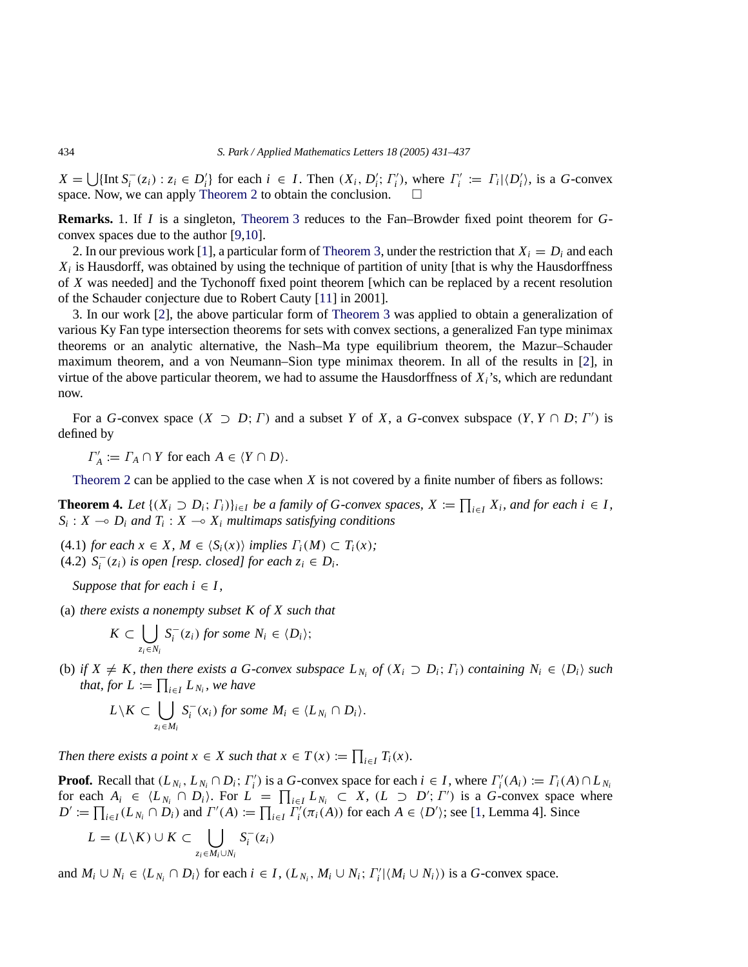$X = \bigcup \{\text{Int } S_i^-(z_i) : z_i \in D_i'\}$  for each  $i \in I$ . Then  $(X_i, D_i'; \Gamma_i')$ , where  $\Gamma_i' := \Gamma_i | \langle D_i' \rangle$ , is a G-convex space. Now, we can apply [Theorem 2](#page-2-0) to obtain the conclusion.  $\Box$ 

**Remarks.** 1. If *I* is a singleton, [Theorem 3](#page-2-1) reduces to the Fan–Browder fixed point theorem for *G*convex spaces due to the author [\[9,](#page-6-6)[10\]](#page-6-7).

2. In our previous work [\[1\]](#page-6-0), a particular form of [Theorem 3,](#page-2-1) under the restriction that  $X_i = D_i$  and each *Xi* is Hausdorff, was obtained by using the technique of partition of unity [that is why the Hausdorffness of *X* was needed] and the Tychonoff fixed point theorem [which can be replaced by a recent resolution of the Schauder conjecture due to Robert Cauty [\[11\]](#page-6-8) in 2001].

3. In our work [\[2\]](#page-6-1), the above particular form of [Theorem 3](#page-2-1) was applied to obtain a generalization of various Ky Fan type intersection theorems for sets with convex sections, a generalized Fan type minimax theorems or an analytic alternative, the Nash–Ma type equilibrium theorem, the Mazur–Schauder maximum theorem, and a von Neumann–Sion type minimax theorem. In all of the results in [\[2\]](#page-6-1), in virtue of the above particular theorem, we had to assume the Hausdorffness of  $X_i$ 's, which are redundant now.

For a *G*-convex space  $(X \supset D; \Gamma)$  and a subset *Y* of *X*, a *G*-convex subspace  $(Y, Y \cap D; \Gamma')$  is defined by

 $\Gamma'_A := \Gamma_A \cap Y$  for each  $A \in \langle Y \cap D \rangle$ .

[Theorem 2](#page-2-0) can be applied to the case when *X* is not covered by a finite number of fibers as follows:

<span id="page-3-0"></span>**Theorem 4.** Let  $\{(X_i \supset D_i; \Gamma_i)\}_{i \in I}$  be a family of G-convex spaces,  $X := \prod_{i \in I} X_i$ , and for each  $i \in I$ ,  $S_i: X \to D_i$  and  $T_i: X \to X_i$  *multimaps satisfying conditions* 

(4.1) *for each*  $x \in X$ ,  $M \in \langle S_i(x) \rangle$  *implies*  $\Gamma_i(M) \subset \Gamma_i(x)$ ; (4.2)  $S_i^-(z_i)$  *is open [resp. closed] for each*  $z_i \in D_i$ *.* 

*Suppose that for each*  $i \in I$ *,* 

(a) *there exists a nonempty subset K of X such that*

$$
K\subset \bigcup_{z_i\in N_i} S_i^-(z_i) \text{ for some } N_i\in \langle D_i\rangle;
$$

(b) *if*  $X \neq K$ , then there exists a G-convex subspace  $L_{N_i}$  of  $(X_i \supset D_i; \Gamma_i)$  containing  $N_i \in \langle D_i \rangle$  such *that, for*  $L := \prod_{i \in I} L_{N_i}$ *, we have* 

$$
L\setminus K\subset \bigcup_{z_i\in M_i} S_i^-(x_i) \text{ for some } M_i\in \langle L_{N_i}\cap D_i\rangle.
$$

*Then there exists a point*  $x \in X$  *such that*  $x \in T(x) := \prod_{i \in I} T_i(x)$ *.* 

**Proof.** Recall that  $(L_{N_i}, L_{N_i} \cap D_i; \Gamma'_i)$  is a *G*-convex space for each  $i \in I$ , where  $\Gamma'_i(A_i) := \Gamma_i(A) \cap L_{N_i}$ for each  $A_i \in \langle L_{N_i} \cap D_i \rangle$ . For  $L = \prod_{i \in I} L_{N_i} \subset X$ ,  $(L \supset D'; \Gamma')$  is a *G*-convex space where  $D' := \prod_{i \in I} (L_{N_i} \cap D_i)$  and  $\Gamma'(A) := \prod_{i \in I} \Gamma'_i(\pi_i(A))$  for each  $A \in \langle D' \rangle$ ; see [\[1,](#page-6-0) Lemma 4]. Since

$$
L = (L \setminus K) \cup K \subset \bigcup_{z_i \in M_i \cup N_i} S_i^-(z_i)
$$

and  $M_i \cup N_i \in \{L_{N_i} \cap D_i\}$  for each  $i \in I$ ,  $(L_{N_i}, M_i \cup N_i; \Gamma'_i | \langle M_i \cup N_i \rangle)$  is a *G*-convex space.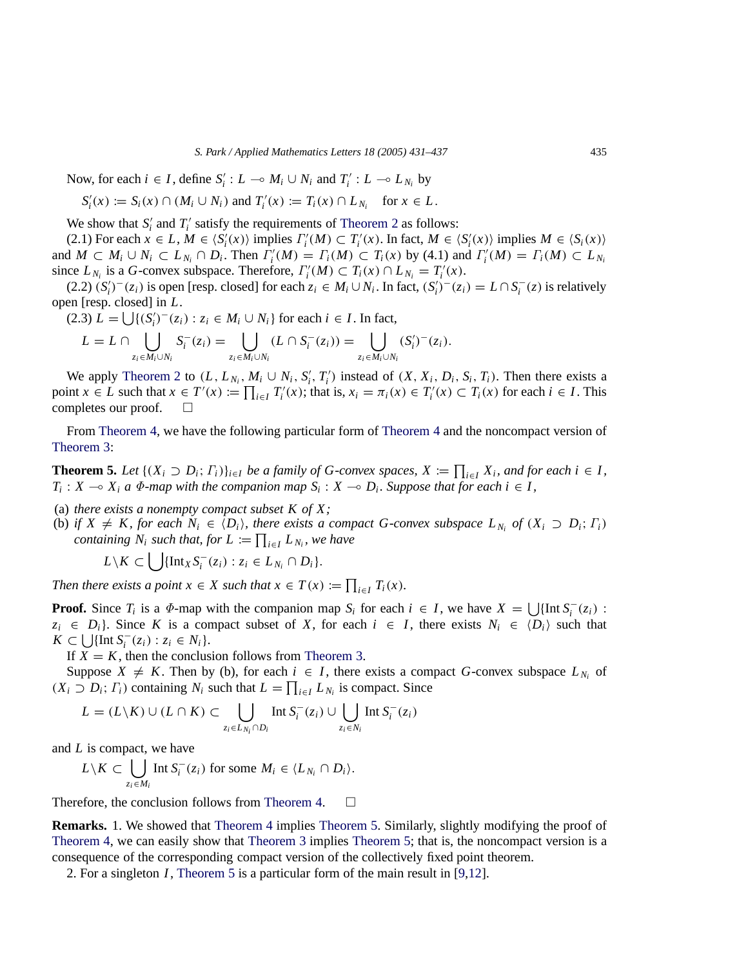Now, for each  $i \in I$ , define  $S_i' : L \to M_i \cup N_i$  and  $T_i' : L \to L_{N_i}$  by

 $S_i'(x) := S_i(x) \cap (M_i \cup N_i)$  and  $T_i'(x) := T_i(x) \cap L_{N_i}$  for  $x \in L$ .

We show that  $S_i'$  and  $T_i'$  satisfy the requirements of [Theorem 2](#page-2-0) as follows:

(2.1) For each  $x \in L$ ,  $M \in \langle S'_i(x) \rangle$  implies  $\Gamma'_i(M) \subset T'_i(x)$ . In fact,  $M \in \langle S'_i(x) \rangle$  implies  $M \in \langle S_i(x) \rangle$ and  $M \subset M_i \cup N_i \subset L_{N_i} \cap D_i$ . Then  $\Gamma_i'(M) = \Gamma_i(M) \subset T_i(x)$  by (4.1) and  $\Gamma_i'(M) = \Gamma_i(M) \subset L_{N_i}$ since  $L_{N_i}$  is a *G*-convex subspace. Therefore,  $\Gamma'_i(M) \subset T_i(x) \cap L_{N_i} = T'_i(x)$ .

 $(2.2)$   $(S_i')^-(z_i)$  is open [resp. closed] for each  $z_i \in M_i \cup N_i$ . In fact,  $(S_i')^-(z_i) = L \cap S_i^-(z)$  is relatively open [resp. closed] in *L*.

(2.3)  $L = \bigcup \{ (S_i')^-(z_i) : z_i \in M_i \cup N_i \}$  for each  $i \in I$ . In fact,

$$
L = L \cap \bigcup_{z_i \in M_i \cup N_i} S_i^-(z_i) = \bigcup_{z_i \in M_i \cup N_i} (L \cap S_i^-(z_i)) = \bigcup_{z_i \in M_i \cup N_i} (S_i')^-(z_i).
$$

We apply [Theorem 2](#page-2-0) to  $(L, L_{N_i}, M_i \cup N_i, S'_i, T'_i)$  instead of  $(X, X_i, D_i, S_i, T_i)$ . Then there exists a point  $x \in L$  such that  $x \in T'(x) := \prod_{i \in I} T'_i(x)$ ; that is,  $x_i = \pi_i(x) \in T'_i(x) \subset T_i(x)$  for each  $i \in I$ . This completes our proof.  $\square$ 

From [Theorem 4,](#page-3-0) we have the following particular form of [Theorem 4](#page-3-0) and the noncompact version of [Theorem 3:](#page-2-1)

<span id="page-4-0"></span>**Theorem 5.** Let  $\{(X_i \supset D_i; \Gamma_i)\}_{i \in I}$  be a family of G-convex spaces,  $X := \prod_{i \in I} X_i$ , and for each  $i \in I$ ,  $T_i: X \to X_i$  *a*  $\Phi$ *-map with the companion map*  $S_i: X \to D_i$ *. Suppose that for each i*  $\in I$ *,* 

- (a) *there exists a nonempty compact subset K of X;*
- (b) *if*  $X \neq K$ , for each  $N_i \in \langle D_i \rangle$ , there exists a compact G-convex subspace  $L_{N_i}$  of  $(X_i \supset D_i; \Gamma_i)$ *containing*  $N_i$  *such that, for*  $L := \prod_{i \in I} L_{N_i}$ *, we have*

*L*\*K* ⊂  $\bigcup \{\text{Int}_X S_i^-(z_i) : z_i \in L_{N_i} \cap D_i\}.$ 

*Then there exists a point*  $x \in X$  *such that*  $x \in T(x) := \prod_{i \in I} T_i(x)$ *.* 

**Proof.** Since  $T_i$  is a  $\Phi$ -map with the companion map  $S_i$  for each  $i \in I$ , we have  $X = \bigcup \{ \text{Int } S_i^-(z_i) \}$ :  $z_i \in D_i$ . Since *K* is a compact subset of *X*, for each  $i \in I$ , there exists  $N_i \in \langle D_i \rangle$  such that *K* ⊂  $\bigcup \{ \text{Int } S_i^-(z_i) : z_i \in N_i \}.$ 

If  $X = K$ , then the conclusion follows from [Theorem 3.](#page-2-1)

Suppose  $X \neq K$ . Then by (b), for each  $i \in I$ , there exists a compact *G*-convex subspace  $L_{N_i}$  of  $(X_i \supset D_i; \Gamma_i)$  containing  $N_i$  such that  $L = \prod_{i \in I} L_{N_i}$  is compact. Since

$$
L = (L \setminus K) \cup (L \cap K) \subset \bigcup_{z_i \in L_{N_i} \cap D_i} \text{Int } S_i^-(z_i) \cup \bigcup_{z_i \in N_i} \text{Int } S_i^-(z_i)
$$

and *L* is compact, we have

$$
L \setminus K \subset \bigcup_{z_i \in M_i} \text{Int } S_i^-(z_i) \text{ for some } M_i \in \langle L_{N_i} \cap D_i \rangle.
$$

Therefore, the conclusion follows from [Theorem 4.](#page-3-0)  $\Box$ 

**Remarks.** 1. We showed that [Theorem 4](#page-3-0) implies [Theorem 5.](#page-4-0) Similarly, slightly modifying the proof of [Theorem 4,](#page-3-0) we can easily show that [Theorem 3](#page-2-1) implies [Theorem 5;](#page-4-0) that is, the noncompact version is a consequence of the corresponding compact version of the collectively fixed point theorem.

2. For a singleton *I*, [Theorem 5](#page-4-0) is a particular form of the main result in [\[9,](#page-6-6)[12\]](#page-6-9).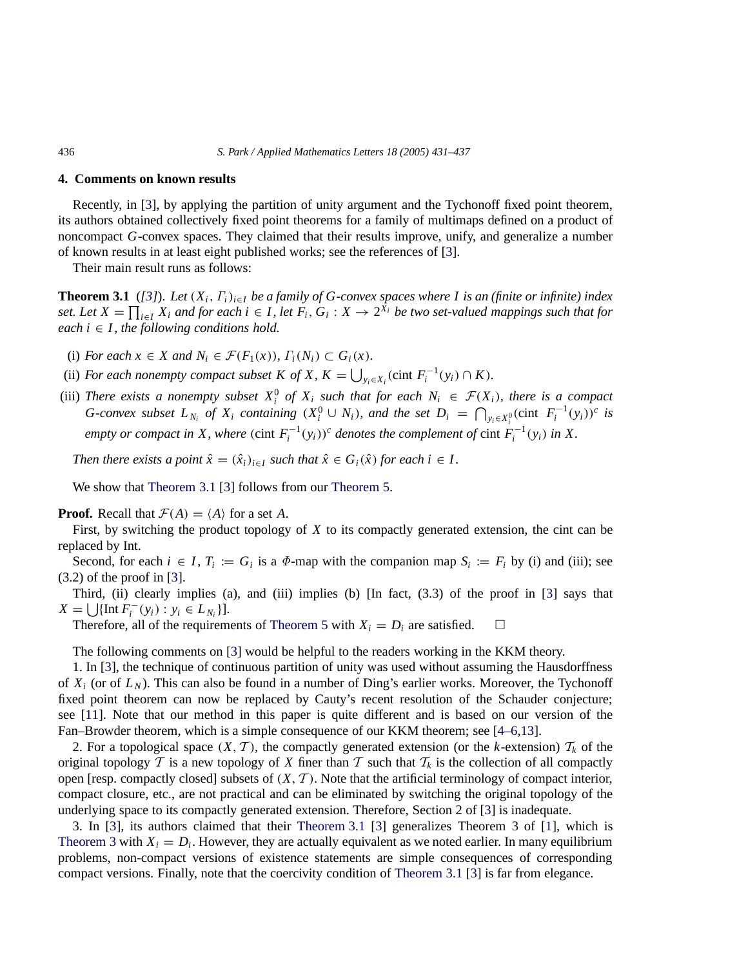## **4. Comments on known results**

Recently, in [\[3\]](#page-6-2), by applying the partition of unity argument and the Tychonoff fixed point theorem, its authors obtained collectively fixed point theorems for a family of multimaps defined on a product of noncompact *G*-convex spaces. They claimed that their results improve, unify, and generalize a number of known results in at least eight published works; see the references of [\[3\]](#page-6-2).

Their main result runs as follows:

<span id="page-5-0"></span>**Theorem 3.1** (*[\[3\]](#page-6-2)*). *Let* (*Xi*, Γ*i*)*i*∈*<sup>I</sup> be a family of G-convex spaces where I is an (finite or infinite) index set.* Let  $X = \prod_{i \in I} X_i$  and for each  $i \in I$ , let  $F_i$ ,  $G_i : X → 2^{X_i}$  be two set-valued mappings such that for *each*  $i \in I$ *, the following conditions hold.* 

- (i) *For each*  $x \in X$  *and*  $N_i \in \mathcal{F}(F_1(x))$ ,  $\Gamma_i(N_i) \subset G_i(x)$ .
- (ii) *For each nonempty compact subset K of X,*  $K = \bigcup_{y_i \in X_i} (\text{cint } F_i^{-1}(y_i) \cap K)$ *<i>.*
- (iii) *There exists a nonempty subset*  $X_i^0$  *of*  $X_i$  *such that for each*  $N_i \in \mathcal{F}(X_i)$ *, there is a compact G*-convex subset  $L_{N_i}$  of  $X_i$  containing  $(X_i^0 \cup N_i)$ , and the set  $D_i = \bigcap_{y_i \in X_i^0} (\text{cint } F_i^{-1}(y_i))^c$  is *empty or compact in X, where*  $(cint F_i^{-1}(y_i))^c$  *denotes the complement of*  $cint F_i^{-1}(y_i)$  *in X.*

*Then there exists a point*  $\hat{x} = (\hat{x}_i)_{i \in I}$  *such that*  $\hat{x} \in G_i(\hat{x})$  *for each*  $i \in I$ .

We show that [Theorem 3.1](#page-5-0) [\[3\]](#page-6-2) follows from our [Theorem 5.](#page-4-0)

**Proof.** Recall that  $\mathcal{F}(A) = \langle A \rangle$  for a set *A*.

First, by switching the product topology of *X* to its compactly generated extension, the cint can be replaced by Int.

Second, for each  $i \in I$ ,  $T_i := G_i$  is a  $\Phi$ -map with the companion map  $S_i := F_i$  by (i) and (iii); see (3.2) of the proof in [\[3\]](#page-6-2).

Third, (ii) clearly implies (a), and (iii) implies (b) [In fact, (3.3) of the proof in [\[3\]](#page-6-2) says that  $X = \bigcup \{ \text{Int } F_i^-(y_i) : y_i \in L_{N_i} \}.$ 

Therefore, all of the requirements of [Theorem 5](#page-4-0) with  $X_i = D_i$  are satisfied.  $\Box$ 

The following comments on [\[3\]](#page-6-2) would be helpful to the readers working in the KKM theory.

1. In [\[3\]](#page-6-2), the technique of continuous partition of unity was used without assuming the Hausdorffness of *Xi* (or of *L <sup>N</sup>* ). This can also be found in a number of Ding's earlier works. Moreover, the Tychonoff fixed point theorem can now be replaced by Cauty's recent resolution of the Schauder conjecture; see [\[11\]](#page-6-8). Note that our method in this paper is quite different and is based on our version of the Fan–Browder theorem, which is a simple consequence of our KKM theorem; see [\[4–6](#page-6-3)[,13\]](#page-6-10).

2. For a topological space  $(X, \mathcal{T})$ , the compactly generated extension (or the *k*-extension)  $\mathcal{T}_k$  of the original topology  $T$  is a new topology of  $X$  finer than  $T$  such that  $T_k$  is the collection of all compactly open [resp. compactly closed] subsets of (*X*, *T* ). Note that the artificial terminology of compact interior, compact closure, etc., are not practical and can be eliminated by switching the original topology of the underlying space to its compactly generated extension. Therefore, Section 2 of [\[3\]](#page-6-2) is inadequate.

3. In [\[3\]](#page-6-2), its authors claimed that their [Theorem 3.1](#page-5-0) [\[3\]](#page-6-2) generalizes Theorem 3 of [\[1\]](#page-6-0), which is [Theorem 3](#page-2-1) with  $X_i = D_i$ . However, they are actually equivalent as we noted earlier. In many equilibrium problems, non-compact versions of existence statements are simple consequences of corresponding compact versions. Finally, note that the coercivity condition of [Theorem 3.1](#page-5-0) [\[3\]](#page-6-2) is far from elegance.